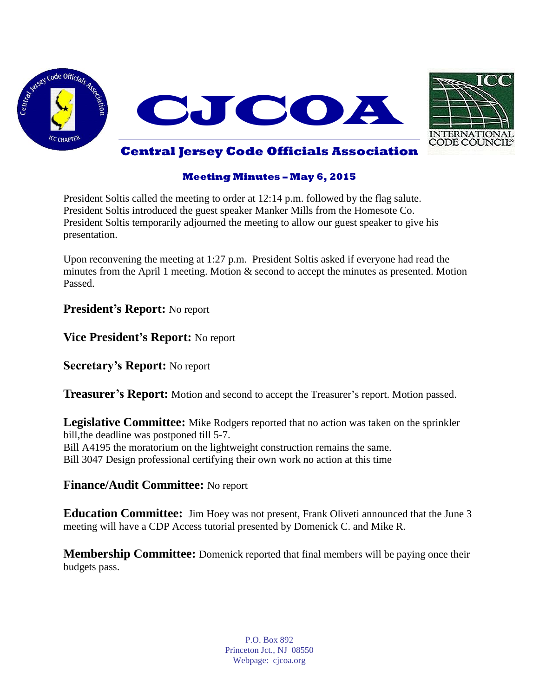



# **Central Jersey Code Officials Association**

#### **Meeting Minutes – May 6, 2015**

President Soltis called the meeting to order at 12:14 p.m. followed by the flag salute. President Soltis introduced the guest speaker Manker Mills from the Homesote Co. President Soltis temporarily adjourned the meeting to allow our guest speaker to give his presentation.

Upon reconvening the meeting at 1:27 p.m. President Soltis asked if everyone had read the minutes from the April 1 meeting. Motion & second to accept the minutes as presented. Motion Passed.

## **President's Report:** No report

**Vice President's Report:** No report

**Secretary's Report:** No report

**Treasurer's Report:** Motion and second to accept the Treasurer's report. Motion passed.

**Legislative Committee:** Mike Rodgers reported that no action was taken on the sprinkler bill,the deadline was postponed till 5-7. Bill A4195 the moratorium on the lightweight construction remains the same. Bill 3047 Design professional certifying their own work no action at this time

## **Finance/Audit Committee:** No report

**Education Committee:** Jim Hoey was not present, Frank Oliveti announced that the June 3 meeting will have a CDP Access tutorial presented by Domenick C. and Mike R.

**Membership Committee:** Domenick reported that final members will be paying once their budgets pass.

> P.O. Box 892 Princeton Jct., NJ 08550 Webpage: cjcoa.org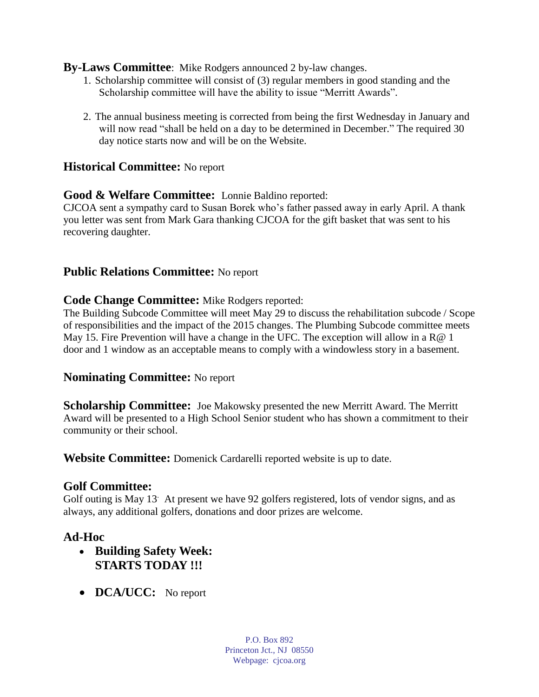## **By-Laws Committee**: Mike Rodgers announced 2 by-law changes.

- 1. Scholarship committee will consist of (3) regular members in good standing and the Scholarship committee will have the ability to issue "Merritt Awards".
- 2. The annual business meeting is corrected from being the first Wednesday in January and will now read "shall be held on a day to be determined in December." The required 30 day notice starts now and will be on the Website.

## **Historical Committee:** No report

## **Good & Welfare Committee:** Lonnie Baldino reported:

CJCOA sent a sympathy card to Susan Borek who's father passed away in early April. A thank you letter was sent from Mark Gara thanking CJCOA for the gift basket that was sent to his recovering daughter.

## **Public Relations Committee:** No report

#### **Code Change Committee:** Mike Rodgers reported:

The Building Subcode Committee will meet May 29 to discuss the rehabilitation subcode / Scope of responsibilities and the impact of the 2015 changes. The Plumbing Subcode committee meets May 15. Fire Prevention will have a change in the UFC. The exception will allow in a R@ 1 door and 1 window as an acceptable means to comply with a windowless story in a basement.

## **Nominating Committee:** No report

**Scholarship Committee:** Joe Makowsky presented the new Merritt Award. The Merritt Award will be presented to a High School Senior student who has shown a commitment to their community or their school.

**Website Committee:** Domenick Cardarelli reported website is up to date.

## **Golf Committee:**

Golf outing is May 13. At present we have 92 golfers registered, lots of vendor signs, and as always, any additional golfers, donations and door prizes are welcome.

# **Ad-Hoc**

- **Building Safety Week: STARTS TODAY !!!**
- **DCA/UCC:** No report

P.O. Box 892 Princeton Jct., NJ 08550 Webpage: cjcoa.org